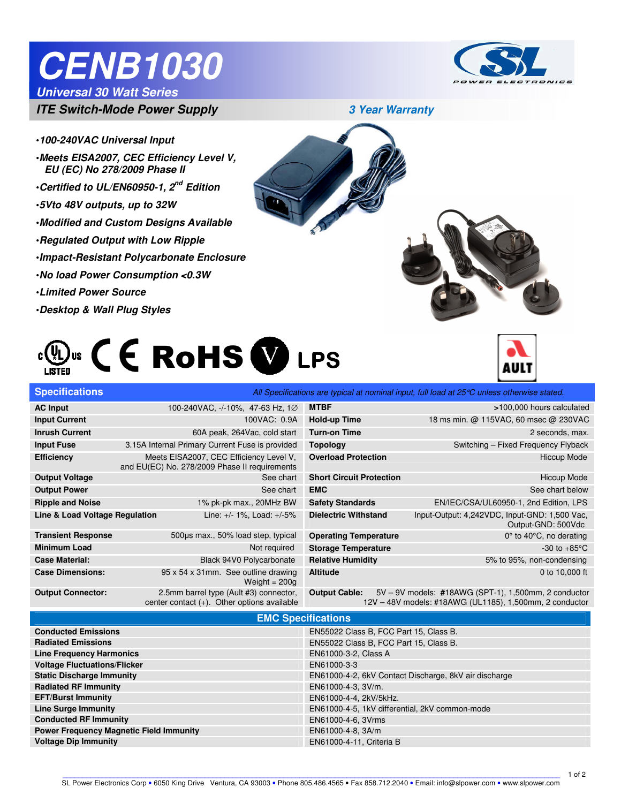# **CENB1030**

#### **Universal 30 Watt Series**

Ī



**ITE Switch-Mode Power Supply 3 Year Warranty** 



- •**100-240VAC Universal Input**
- •**Meets EISA2007, CEC Efficiency Level V, EU (EC) No 278/2009 Phase II**
- •**Certified to UL/EN60950-1, 2nd Edition**
- •**5Vto 48V outputs, up to 32W**
- •**Modified and Custom Designs Available**
- •**Regulated Output with Low Ripple**
- •**Impact-Resistant Polycarbonate Enclosure**
- •**No load Power Consumption <0.3W**
- •**Limited Power Source**
- •**Desktop & Wall Plug Styles**







| <b>Specifications</b>          |                                                                                          |                                 | All Specifications are typical at nominal input, full load at $25^{\circ}$ C unless otherwise stated. |
|--------------------------------|------------------------------------------------------------------------------------------|---------------------------------|-------------------------------------------------------------------------------------------------------|
| <b>AC Input</b>                | 100-240VAC, -/-10%, 47-63 Hz, 1Ø                                                         | <b>MTBF</b>                     | >100,000 hours calculated                                                                             |
| <b>Input Current</b>           | 100VAC: 0.9A                                                                             | Hold-up Time                    | 18 ms min. @ 115VAC, 60 msec @ 230VAC                                                                 |
| <b>Inrush Current</b>          | 60A peak, 264Vac, cold start                                                             | <b>Turn-on Time</b>             | 2 seconds, max.                                                                                       |
| <b>Input Fuse</b>              | 3.15A Internal Primary Current Fuse is provided                                          | <b>Topology</b>                 | Switching - Fixed Frequency Flyback                                                                   |
| <b>Efficiency</b>              | Meets EISA2007, CEC Efficiency Level V,<br>and EU(EC) No. 278/2009 Phase II requirements | <b>Overload Protection</b>      | <b>Hiccup Mode</b>                                                                                    |
| <b>Output Voltage</b>          | See chart                                                                                | <b>Short Circuit Protection</b> | <b>Hiccup Mode</b>                                                                                    |
| <b>Output Power</b>            | See chart                                                                                | <b>EMC</b>                      | See chart below                                                                                       |
| <b>Ripple and Noise</b>        | 1% pk-pk max., 20MHz BW                                                                  | <b>Safety Standards</b>         | EN/IEC/CSA/UL60950-1, 2nd Edition, LPS                                                                |
| Line & Load Voltage Regulation | Line: +/- 1%, Load: +/-5%                                                                | <b>Dielectric Withstand</b>     | Input-Output: 4,242VDC, Input-GND: 1,500 Vac,<br>Output-GND: 500Vdc                                   |
| <b>Transient Response</b>      | 500µs max., 50% load step, typical                                                       | <b>Operating Temperature</b>    | $0^\circ$ to 40 $^\circ$ C, no derating                                                               |
| <b>Minimum Load</b>            | Not required                                                                             | <b>Storage Temperature</b>      | -30 to $+85^{\circ}$ C                                                                                |
| <b>Case Material:</b>          | Black 94V0 Polycarbonate                                                                 | <b>Relative Humidity</b>        | 5% to 95%, non-condensing                                                                             |
| <b>Case Dimensions:</b>        | 95 x 54 x 31mm. See outline drawing<br>Weight $= 200q$                                   | <b>Altitude</b>                 | 0 to 10,000 ft                                                                                        |
| <b>Output Connector:</b>       | 2.5mm barrel type (Ault #3) connector,                                                   | <b>Output Cable:</b>            | 5V - 9V models: #18AWG (SPT-1), 1,500mm, 2 conductor                                                  |

 center contact (+). Other options available 12V – 48V models: #18AWG (UL1185), 1,500mm, 2 conductor

#### **EMC Specifications**

| $\blacksquare$                                 |                                                       |  |  |
|------------------------------------------------|-------------------------------------------------------|--|--|
| <b>Conducted Emissions</b>                     | EN55022 Class B, FCC Part 15, Class B.                |  |  |
| <b>Radiated Emissions</b>                      | EN55022 Class B, FCC Part 15, Class B.                |  |  |
| <b>Line Frequency Harmonics</b>                | EN61000-3-2, Class A                                  |  |  |
| <b>Voltage Fluctuations/Flicker</b>            | EN61000-3-3                                           |  |  |
| <b>Static Discharge Immunity</b>               | EN61000-4-2, 6kV Contact Discharge, 8kV air discharge |  |  |
| <b>Radiated RF Immunity</b>                    | EN61000-4-3, 3V/m.                                    |  |  |
| <b>EFT/Burst Immunity</b>                      | EN61000-4-4, 2kV/5kHz.                                |  |  |
| <b>Line Surge Immunity</b>                     | EN61000-4-5, 1kV differential, 2kV common-mode        |  |  |
| <b>Conducted RF Immunity</b>                   | EN61000-4-6, 3Vrms                                    |  |  |
| <b>Power Frequency Magnetic Field Immunity</b> | EN61000-4-8, 3A/m                                     |  |  |
| <b>Voltage Dip Immunity</b>                    | EN61000-4-11, Criteria B                              |  |  |